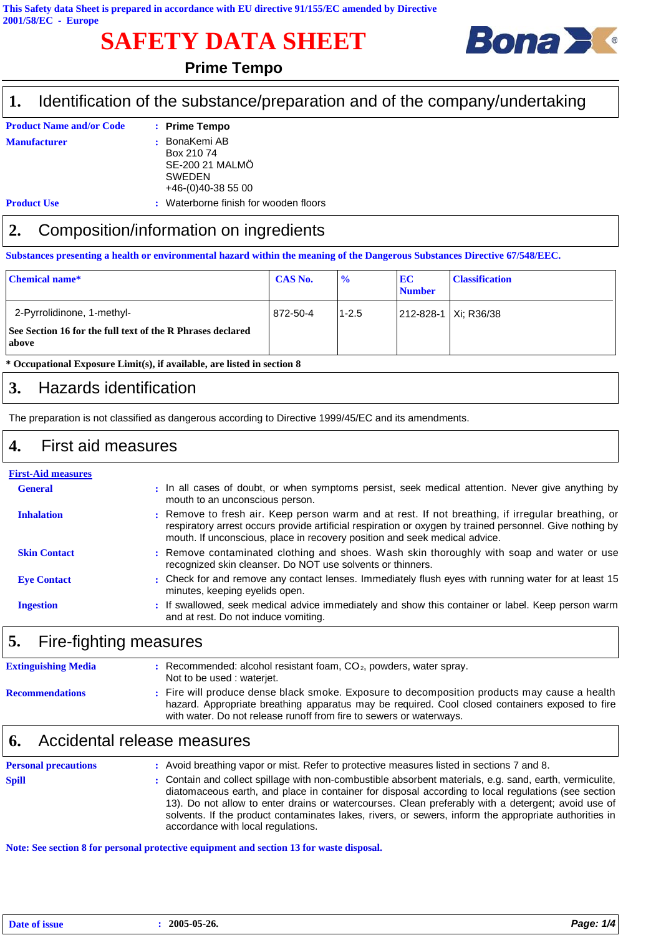## **SAFETY DATA SHEET**



#### **Prime Tempo**

#### Identification of the substance/preparation and of the company/undertaking **1.**

| <b>Product Name and/or Code</b> | : Prime Tempo                         |
|---------------------------------|---------------------------------------|
| <b>Manufacturer</b>             | : BonaKemi AB                         |
|                                 | Box 210 74                            |
|                                 | SE-200 21 MALMÖ                       |
|                                 | <b>SWEDEN</b>                         |
|                                 | $+46-(0)40-38500$                     |
| <b>Product Use</b>              | : Waterborne finish for wooden floors |

# **2.** Composition/information on ingredients

**Substances presenting a health or environmental hazard within the meaning of the Dangerous Substances Directive 67/548/EEC.**

| <b>Chemical name*</b>                                                                             | <b>CAS No.</b> | $\frac{6}{9}$ | <b>EC</b><br><b>Number</b> | <b>Classification</b> |
|---------------------------------------------------------------------------------------------------|----------------|---------------|----------------------------|-----------------------|
| 2-Pyrrolidinone, 1-methyl-<br>See Section 16 for the full text of the R Phrases declared<br>above | 872-50-4       | $1 - 2.5$     | 212-828-1   Xi: R36/38     |                       |

**\* Occupational Exposure Limit(s), if available, are listed in section 8**

#### **3.** Hazards identification

The preparation is not classified as dangerous according to Directive 1999/45/EC and its amendments.

#### **4.** First aid measures

| <b>First-Aid measures</b> |                                                                                                                                                                                                                                                                                             |
|---------------------------|---------------------------------------------------------------------------------------------------------------------------------------------------------------------------------------------------------------------------------------------------------------------------------------------|
| <b>General</b>            | : In all cases of doubt, or when symptoms persist, seek medical attention. Never give anything by<br>mouth to an unconscious person.                                                                                                                                                        |
| <b>Inhalation</b>         | : Remove to fresh air. Keep person warm and at rest. If not breathing, if irregular breathing, or<br>respiratory arrest occurs provide artificial respiration or oxygen by trained personnel. Give nothing by<br>mouth. If unconscious, place in recovery position and seek medical advice. |
| <b>Skin Contact</b>       | : Remove contaminated clothing and shoes. Wash skin thoroughly with soap and water or use<br>recognized skin cleanser. Do NOT use solvents or thinners.                                                                                                                                     |
| <b>Eve Contact</b>        | : Check for and remove any contact lenses. Immediately flush eyes with running water for at least 15<br>minutes, keeping eyelids open.                                                                                                                                                      |
| <b>Ingestion</b>          | : If swallowed, seek medical advice immediately and show this container or label. Keep person warm<br>and at rest. Do not induce vomiting.                                                                                                                                                  |

### **5.** Fire-fighting measures

| <b>Extinguishing Media</b> | Recommended: alcohol resistant foam, $CO2$ , powders, water spray.<br>Not to be used: waterjet.                                                                                                                                                                        |
|----------------------------|------------------------------------------------------------------------------------------------------------------------------------------------------------------------------------------------------------------------------------------------------------------------|
| <b>Recommendations</b>     | : Fire will produce dense black smoke. Exposure to decomposition products may cause a health<br>hazard. Appropriate breathing apparatus may be required. Cool closed containers exposed to fire<br>with water. Do not release runoff from fire to sewers or waterways. |

#### **6.** Accidental release measures

| <b>Personal precautions</b> | : Avoid breathing vapor or mist. Refer to protective measures listed in sections 7 and 8.                                                                                                                                                                                                                                                                                                                                                                           |
|-----------------------------|---------------------------------------------------------------------------------------------------------------------------------------------------------------------------------------------------------------------------------------------------------------------------------------------------------------------------------------------------------------------------------------------------------------------------------------------------------------------|
| <b>Spill</b>                | : Contain and collect spillage with non-combustible absorbent materials, e.g. sand, earth, vermiculite,<br>diatomaceous earth, and place in container for disposal according to local regulations (see section<br>13). Do not allow to enter drains or watercourses. Clean preferably with a detergent; avoid use of<br>solvents. If the product contaminates lakes, rivers, or sewers, inform the appropriate authorities in<br>accordance with local regulations. |

**Note: See section 8 for personal protective equipment and section 13 for waste disposal.**

| Date of issue | 2005-05-26. | Page: 1/4 |  |
|---------------|-------------|-----------|--|
|               |             |           |  |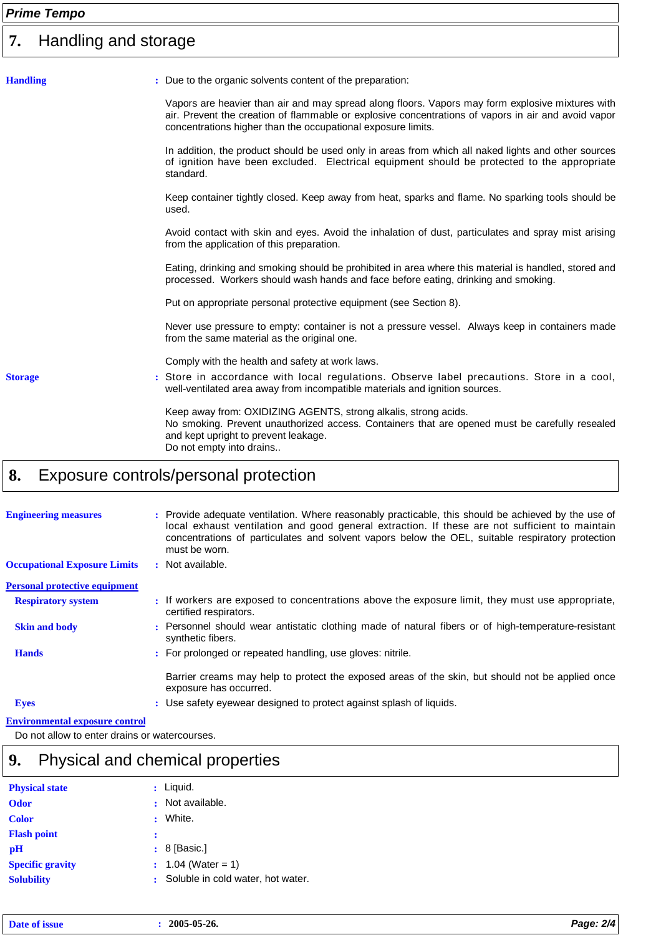### *Prime Tempo*

| 7.              | Handling and storage                                                                                                                                                                                                                                                    |  |  |  |  |  |  |
|-----------------|-------------------------------------------------------------------------------------------------------------------------------------------------------------------------------------------------------------------------------------------------------------------------|--|--|--|--|--|--|
| <b>Handling</b> | : Due to the organic solvents content of the preparation:                                                                                                                                                                                                               |  |  |  |  |  |  |
|                 | Vapors are heavier than air and may spread along floors. Vapors may form explosive mixtures with<br>air. Prevent the creation of flammable or explosive concentrations of vapors in air and avoid vapor<br>concentrations higher than the occupational exposure limits. |  |  |  |  |  |  |
|                 | In addition, the product should be used only in areas from which all naked lights and other sources<br>of ignition have been excluded. Electrical equipment should be protected to the appropriate<br>standard.                                                         |  |  |  |  |  |  |
|                 | Keep container tightly closed. Keep away from heat, sparks and flame. No sparking tools should be<br>used.                                                                                                                                                              |  |  |  |  |  |  |
|                 | Avoid contact with skin and eyes. Avoid the inhalation of dust, particulates and spray mist arising<br>from the application of this preparation.                                                                                                                        |  |  |  |  |  |  |
|                 | Eating, drinking and smoking should be prohibited in area where this material is handled, stored and<br>processed. Workers should wash hands and face before eating, drinking and smoking.                                                                              |  |  |  |  |  |  |
|                 | Put on appropriate personal protective equipment (see Section 8).                                                                                                                                                                                                       |  |  |  |  |  |  |
|                 | Never use pressure to empty: container is not a pressure vessel. Always keep in containers made<br>from the same material as the original one.                                                                                                                          |  |  |  |  |  |  |
|                 | Comply with the health and safety at work laws.                                                                                                                                                                                                                         |  |  |  |  |  |  |
| <b>Storage</b>  | : Store in accordance with local regulations. Observe label precautions. Store in a cool,<br>well-ventilated area away from incompatible materials and ignition sources.                                                                                                |  |  |  |  |  |  |
|                 | Keep away from: OXIDIZING AGENTS, strong alkalis, strong acids.<br>No smoking. Prevent unauthorized access. Containers that are opened must be carefully resealed<br>and kept upright to prevent leakage.<br>Do not empty into drains                                   |  |  |  |  |  |  |

## **8.** Exposure controls/personal protection

| <b>Engineering measures</b>           | : Provide adequate ventilation. Where reasonably practicable, this should be achieved by the use of<br>local exhaust ventilation and good general extraction. If these are not sufficient to maintain<br>concentrations of particulates and solvent vapors below the OEL, suitable respiratory protection<br>must be worn. |
|---------------------------------------|----------------------------------------------------------------------------------------------------------------------------------------------------------------------------------------------------------------------------------------------------------------------------------------------------------------------------|
| <b>Occupational Exposure Limits</b>   | : Not available.                                                                                                                                                                                                                                                                                                           |
| <b>Personal protective equipment</b>  |                                                                                                                                                                                                                                                                                                                            |
| <b>Respiratory system</b>             | : If workers are exposed to concentrations above the exposure limit, they must use appropriate.<br>certified respirators.                                                                                                                                                                                                  |
| <b>Skin and body</b>                  | : Personnel should wear antistatic clothing made of natural fibers or of high-temperature-resistant<br>synthetic fibers.                                                                                                                                                                                                   |
| <b>Hands</b>                          | : For prolonged or repeated handling, use gloves: nitrile.                                                                                                                                                                                                                                                                 |
|                                       | Barrier creams may help to protect the exposed areas of the skin, but should not be applied once<br>exposure has occurred.                                                                                                                                                                                                 |
| <b>Eyes</b>                           | : Use safety eyewear designed to protect against splash of liquids.                                                                                                                                                                                                                                                        |
| <b>Environmental exposure control</b> |                                                                                                                                                                                                                                                                                                                            |

Do not allow to enter drains or watercourses.

## **9.** Physical and chemical properties

| $:$ Liquid.<br>Not available.<br>White.<br>$: 8$ [Basic.]<br>1.04 (Water = 1) |
|-------------------------------------------------------------------------------|
| Soluble in cold water, hot water.                                             |
|                                                                               |

| Dat. | 2005-05-26. | <u>Пааа</u><br>21A |
|------|-------------|--------------------|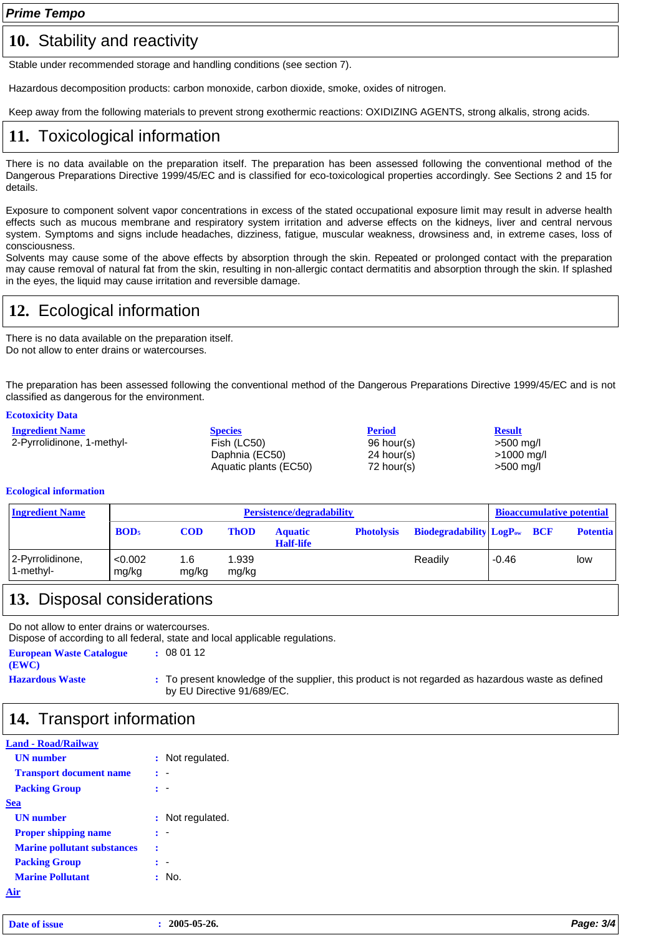*Prime Tempo*

#### 10. Stability and reactivity

Stable under recommended storage and handling conditions (see section 7).

Hazardous decomposition products: carbon monoxide, carbon dioxide, smoke, oxides of nitrogen.

Keep away from the following materials to prevent strong exothermic reactions: OXIDIZING AGENTS, strong alkalis, strong acids.

### **11.** Toxicological information

There is no data available on the preparation itself. The preparation has been assessed following the conventional method of the Dangerous Preparations Directive 1999/45/EC and is classified for eco-toxicological properties accordingly. See Sections 2 and 15 for details.

Exposure to component solvent vapor concentrations in excess of the stated occupational exposure limit may result in adverse health effects such as mucous membrane and respiratory system irritation and adverse effects on the kidneys, liver and central nervous system. Symptoms and signs include headaches, dizziness, fatigue, muscular weakness, drowsiness and, in extreme cases, loss of consciousness.

Solvents may cause some of the above effects by absorption through the skin. Repeated or prolonged contact with the preparation may cause removal of natural fat from the skin, resulting in non-allergic contact dermatitis and absorption through the skin. If splashed in the eyes, the liquid may cause irritation and reversible damage.

### **12.** Ecological information

There is no data available on the preparation itself. Do not allow to enter drains or watercourses.

The preparation has been assessed following the conventional method of the Dangerous Preparations Directive 1999/45/EC and is not classified as dangerous for the environment.

#### **Ecotoxicity Data**

| <b>Ingredient Name</b>     | <b>Species</b>        | <b>Period</b> | <b>Result</b>                 |
|----------------------------|-----------------------|---------------|-------------------------------|
| 2-Pyrrolidinone, 1-methyl- | Fish (LC50)           | 96 hour(s)    | >500 mg/l                     |
|                            | Daphnia (EC50)        | 24 hour(s)    | $>1000 \; \text{mg}/\text{l}$ |
|                            | Aquatic plants (EC50) | 72 hour(s)    | $>500$ mg/l                   |

#### **Ecological information**

| <b>Ingredient Name</b>        |                  | <b>Persistence/degradability</b> |                |                                    |                   |                                                | <b>Bioaccumulative potential</b> |                 |  |
|-------------------------------|------------------|----------------------------------|----------------|------------------------------------|-------------------|------------------------------------------------|----------------------------------|-----------------|--|
|                               | BOD <sub>5</sub> | <b>COD</b>                       | <b>ThOD</b>    | <b>Aquatic</b><br><b>Half-life</b> | <b>Photolysis</b> | <b>Biodegradability LogP</b> <sub>ow</sub> BCF |                                  | <b>Potentia</b> |  |
| 2-Pyrrolidinone,<br>1-methyl- | < 0.002<br>mg/kg | 1.6<br>mg/kg                     | 1.939<br>mg/kg |                                    |                   | Readily                                        | -0.46                            | low             |  |

#### **13.** Disposal considerations

Do not allow to enter drains or watercourses.

Dispose of according to all federal, state and local applicable regulations. **European Waste Catalogue :** 08 01 12

**(EWC)**

**Hazardous Waste :** To present knowledge of the supplier, this product is not regarded as hazardous waste as defined by EU Directive 91/689/EC.

#### **14.** Transport information

| <b>Land - Road/Railwav</b>         |   |                  |  |  |
|------------------------------------|---|------------------|--|--|
| <b>UN</b> number                   |   | : Not regulated. |  |  |
| <b>Transport document name</b>     |   |                  |  |  |
| <b>Packing Group</b>               |   |                  |  |  |
| Sea                                |   |                  |  |  |
| <b>UN</b> number                   |   | Not regulated.   |  |  |
| <b>Proper shipping name</b>        |   |                  |  |  |
| <b>Marine pollutant substances</b> | 2 |                  |  |  |
| <b>Packing Group</b>               |   |                  |  |  |
| <b>Marine Pollutant</b>            |   | No.              |  |  |
|                                    |   |                  |  |  |

| Date of issue | 2005-05-26. | Page: 3/4 |
|---------------|-------------|-----------|
|---------------|-------------|-----------|